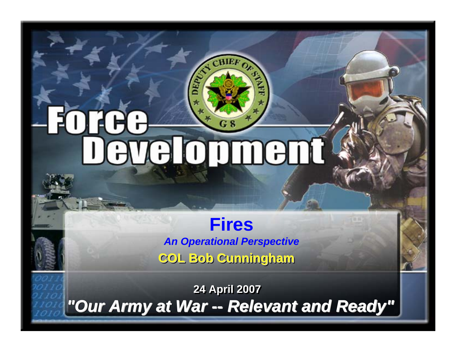# Foree **SARANT**

5/7/2007

**COL Bob Cunningham COL Bob Cunningham COL Bob Cunningham Fires***An Operational Perspective*

*"Our Army at War "Our Army at War "Our Army at War -- Relevant and Ready" -- Relevant and Ready" Relevant and Ready"* **24 April 2007 24 April 2007**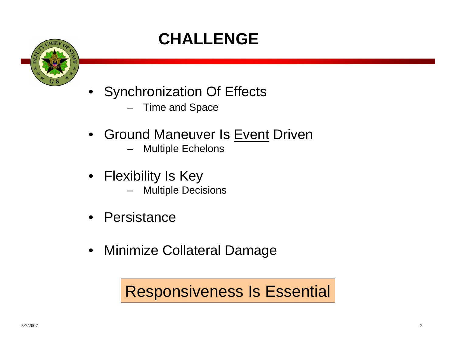# **CHALLENGE**



- Synchronization Of Effects
	- –Time and Space
- Ground Maneuver Is Event Driven
	- –Multiple Echelons
- Flexibility Is Key
	- Multiple Decisions
- Persistance
- Minimize Collateral Damage

## Responsiveness Is Essential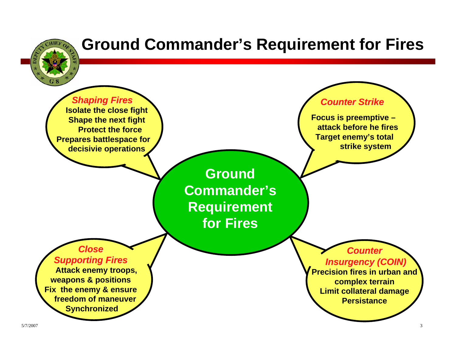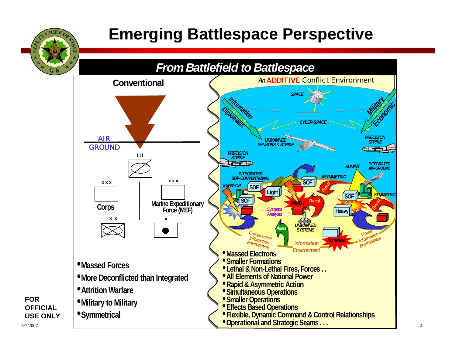

## **Emerging Battlespace Perspective**



5/7/2007

**FOR** 

**OFFICIAL USE ONLY**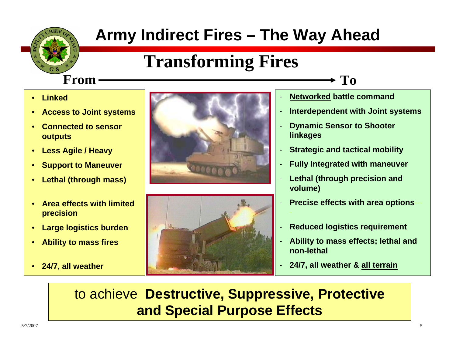## **Army Indirect Fires – The Way Ahead**

-

# **Transforming Fires**

 $m \longrightarrow T_0$ 

#### **FromLinked**

•

- •**Access to Joint systems**
- • **Connected to sensor outputs**
- •**Less Agile / Heavy**
- •**Support to Maneuver**
- •**Lethal (through mass)**
- • **Area effects with limited precision**
- •**Large logistics burden**
- •**Ability to mass fires**
- •**24/7, all weather**





- **Networked battle command**
- -**Interdependent with Joint systems**
- - **Dynamic Sensor to Shooter linkages**
- -**Strategic and tactical mobility**
- -**Fully Integrated with maneuver**
- - **Lethal (through precision and volume)**
- **Precise effects with area options**
- **Reduced logistics requirement**
- **Ability to mass effects; lethal and non-lethal**
- **24/7, all weather & all terrain**

to achieve **Destructive, Suppressive, Protective and Special Purpose Effects**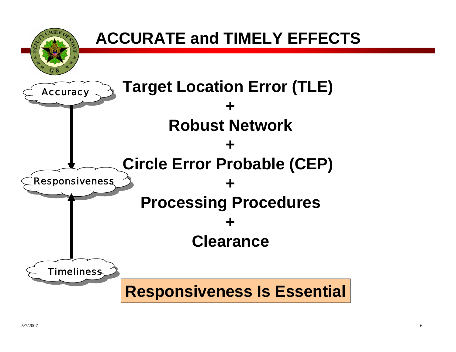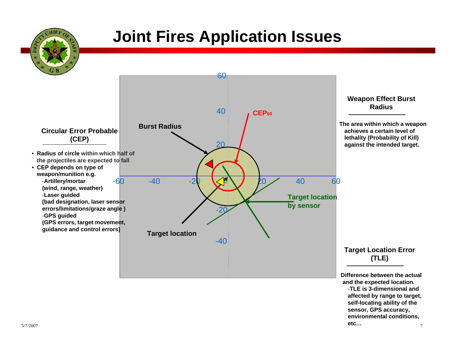## **Joint Fires Application Issues**

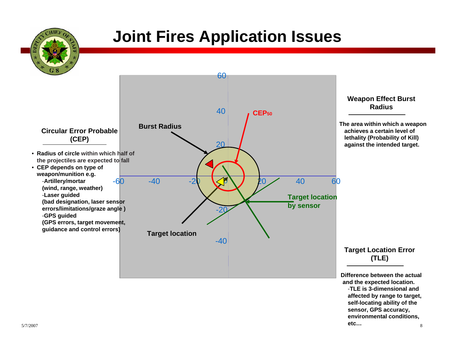## **Joint Fires Application Issues**

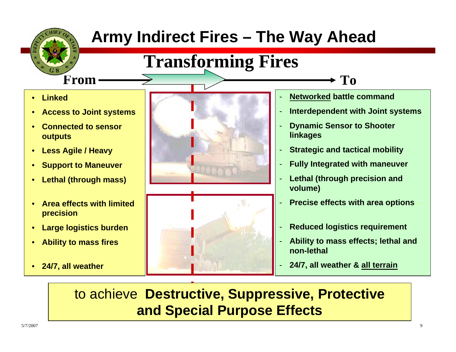

to achieve **Destructive, Suppressive, Protective and Special Purpose Effects**